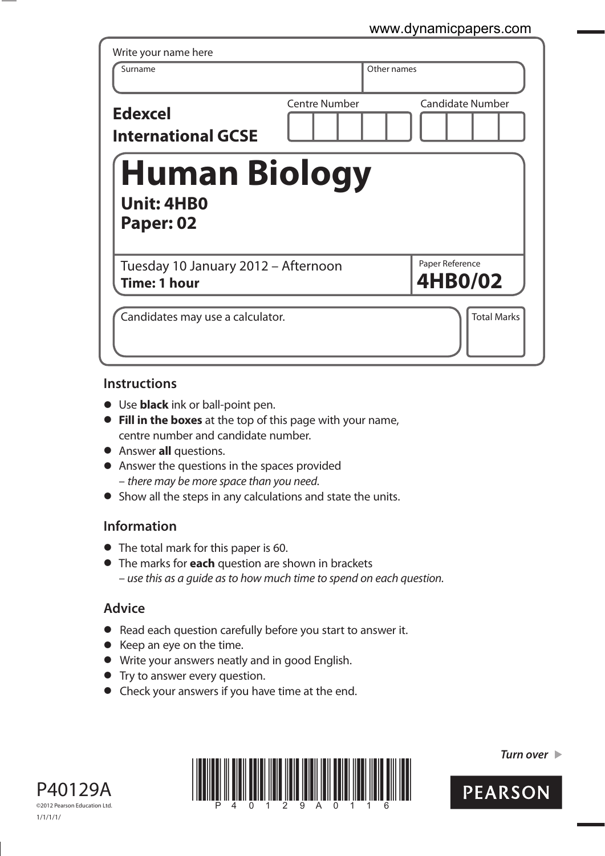| Write your name here                                   |                      |                            |
|--------------------------------------------------------|----------------------|----------------------------|
| Surname                                                |                      | Other names                |
| <b>Edexcel</b><br><b>International GCSE</b>            | <b>Centre Number</b> | <b>Candidate Number</b>    |
| <b>Human Biology</b><br><b>Unit: 4HB0</b><br>Paper: 02 |                      |                            |
| Tuesday 10 January 2012 - Afternoon<br>Time: 1 hour    |                      | Paper Reference<br>4HB0/02 |
| Candidates may use a calculator.                       |                      | <b>Total Marks</b>         |

## **Instructions**

- **t** Use **black** ink or ball-point pen.
- **Fill in the boxes** at the top of this page with your name, centre number and candidate number.
- **•** Answer **all** questions.
- **•** Answer the questions in the spaces provided – there may be more space than you need.
- **•** Show all the steps in any calculations and state the units.

## **Information**

- **•** The total mark for this paper is 60.
- **t** The marks for **each** question are shown in brackets – use this as a guide as to how much time to spend on each question.

## **Advice**

- **t** Read each question carefully before you start to answer it.
- **t** Keep an eye on the time.
- **t** Write your answers neatly and in good English.
- **•** Try to answer every question.
- **•** Check your answers if you have time at the end.





*Turn over* 

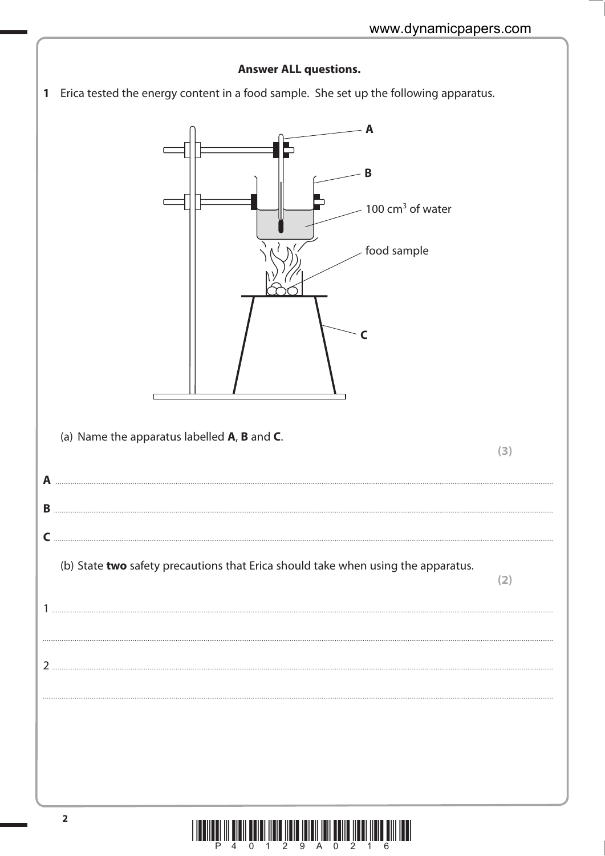

0 1 2 9 A 0 2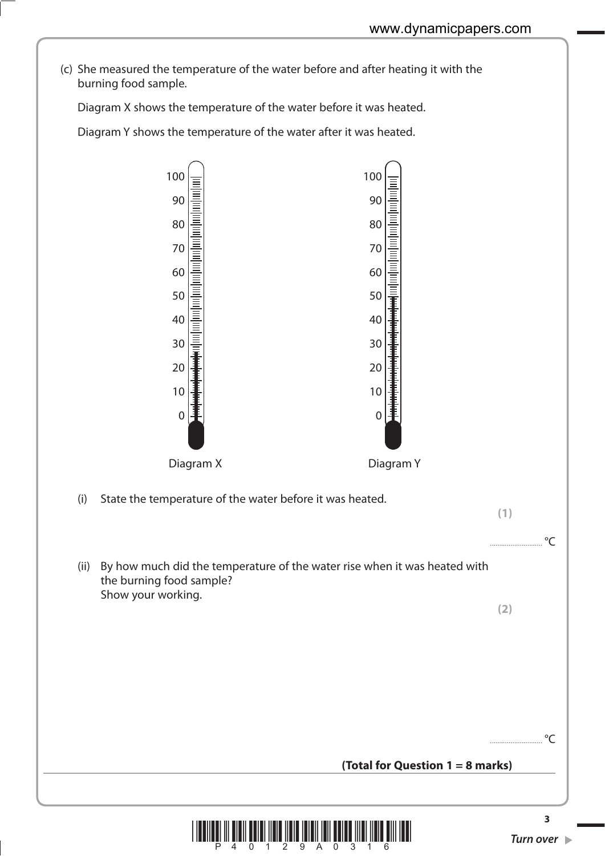(c) She measured the temperature of the water before and after heating it with the burning food sample.

Diagram X shows the temperature of the water before it was heated.

Diagram Y shows the temperature of the water after it was heated.

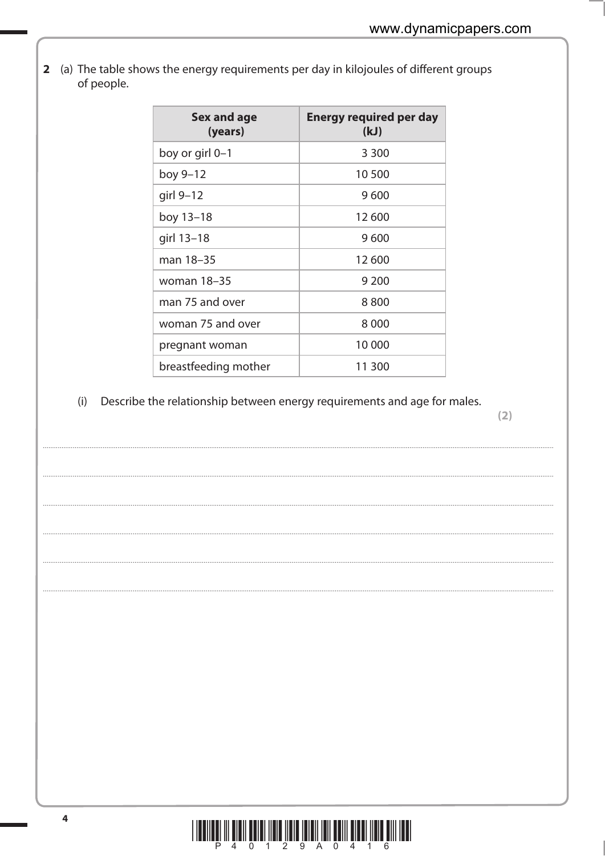2 (a) The table shows the energy requirements per day in kilojoules of different groups of people.

| <b>Sex and age</b><br>(years) | <b>Energy required per day</b><br>(kJ) |
|-------------------------------|----------------------------------------|
| boy or girl 0-1               | 3 3 0 0                                |
| boy 9-12                      | 10 500                                 |
| girl 9-12                     | 9600                                   |
| boy 13-18                     | 12 600                                 |
| girl 13-18                    | 9 600                                  |
| man 18-35                     | 12 600                                 |
| woman 18–35                   | 9 200                                  |
| man 75 and over               | 8800                                   |
| woman 75 and over             | 8 0 0 0                                |
| pregnant woman                | 10 000                                 |
| breastfeeding mother          | 11 300                                 |

Describe the relationship between energy requirements and age for males.  $(i)$ 

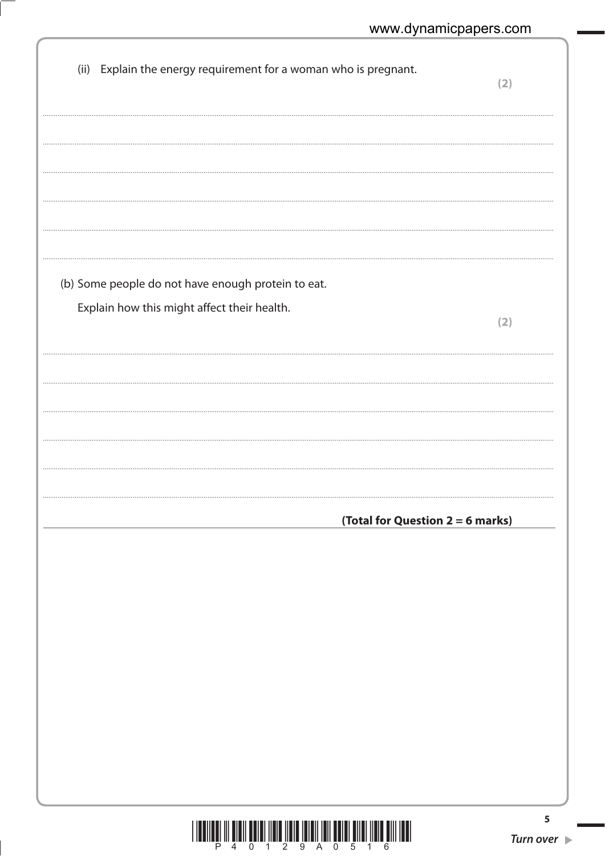| (ii) Explain the energy requirement for a woman who is pregnant.                                  | (2) |
|---------------------------------------------------------------------------------------------------|-----|
|                                                                                                   |     |
|                                                                                                   |     |
| (b) Some people do not have enough protein to eat.<br>Explain how this might affect their health. | (2) |
|                                                                                                   |     |
|                                                                                                   |     |
| (Total for Question 2 = 6 marks)                                                                  |     |
|                                                                                                   |     |
|                                                                                                   |     |
|                                                                                                   |     |
|                                                                                                   |     |

 $\overline{5}$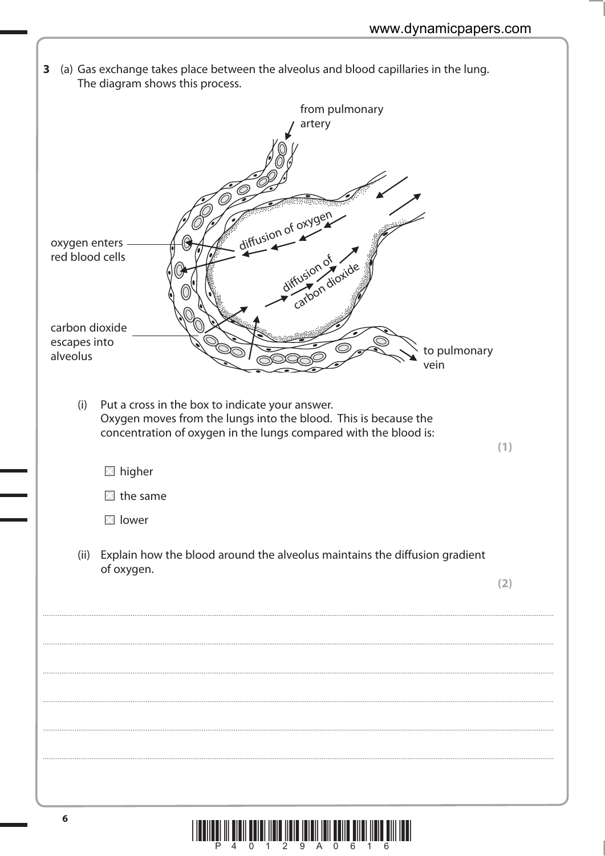

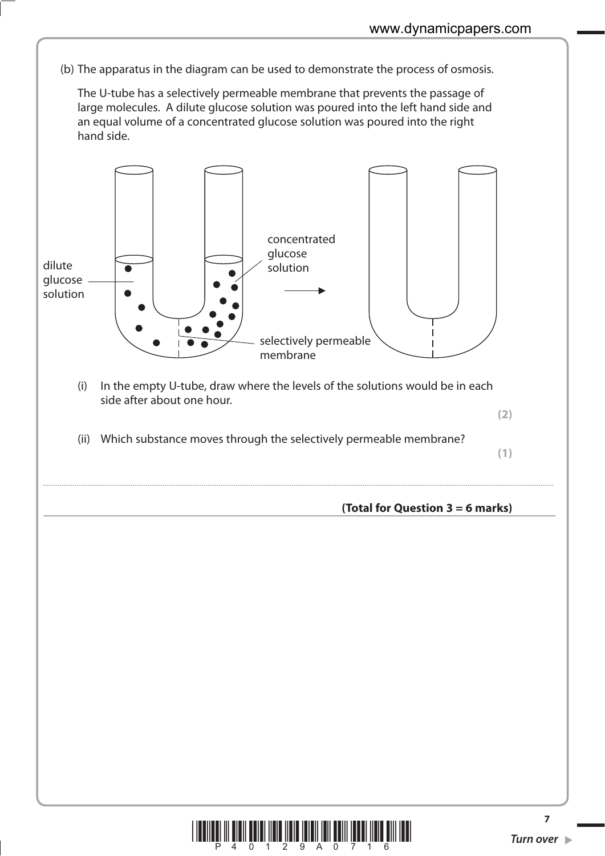(b) The apparatus in the diagram can be used to demonstrate the process of osmosis.

 The U-tube has a selectively permeable membrane that prevents the passage of large molecules. A dilute glucose solution was poured into the left hand side and an equal volume of a concentrated glucose solution was poured into the right hand side.



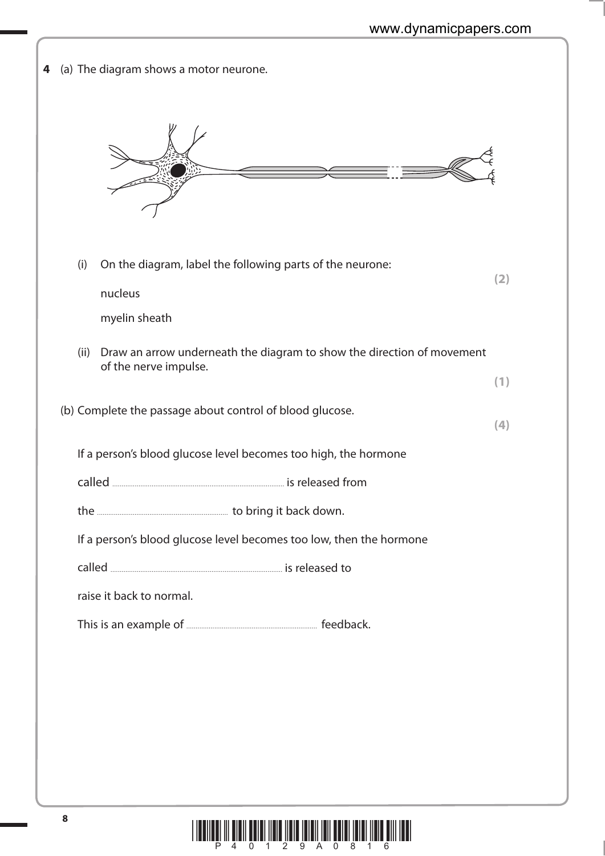| 4 | (a) The diagram shows a motor neurone.                                                                  |     |
|---|---------------------------------------------------------------------------------------------------------|-----|
|   |                                                                                                         |     |
|   | (i)<br>On the diagram, label the following parts of the neurone:                                        | (2) |
|   | nucleus                                                                                                 |     |
|   | myelin sheath                                                                                           |     |
|   | Draw an arrow underneath the diagram to show the direction of movement<br>(ii)<br>of the nerve impulse. |     |
|   |                                                                                                         | (1) |
|   | (b) Complete the passage about control of blood glucose.                                                | (4) |
|   | If a person's blood glucose level becomes too high, the hormone                                         |     |
|   |                                                                                                         |     |
|   |                                                                                                         |     |
|   | If a person's blood glucose level becomes too low, then the hormone                                     |     |
|   |                                                                                                         |     |
|   | raise it back to normal.                                                                                |     |
|   |                                                                                                         |     |
|   |                                                                                                         |     |
|   |                                                                                                         |     |
|   |                                                                                                         |     |
|   |                                                                                                         |     |
|   |                                                                                                         |     |
|   |                                                                                                         |     |

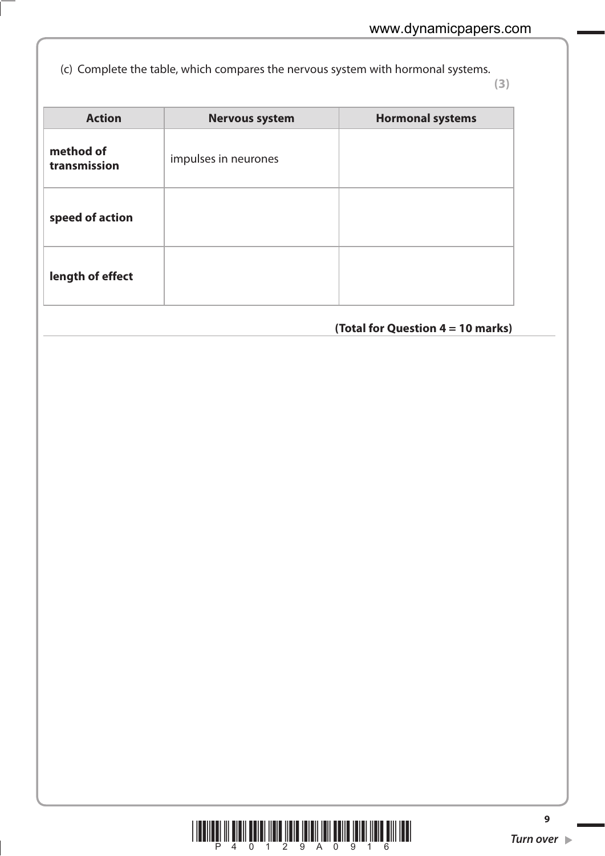(c) Complete the table, which compares the nervous system with hormonal systems.

**(3)**

| <b>Action</b>             | <b>Nervous system</b> | <b>Hormonal systems</b> |
|---------------------------|-----------------------|-------------------------|
| method of<br>transmission | impulses in neurones  |                         |
| speed of action           |                       |                         |
| length of effect          |                       |                         |

## **(Total for Question 4 = 10 marks)**

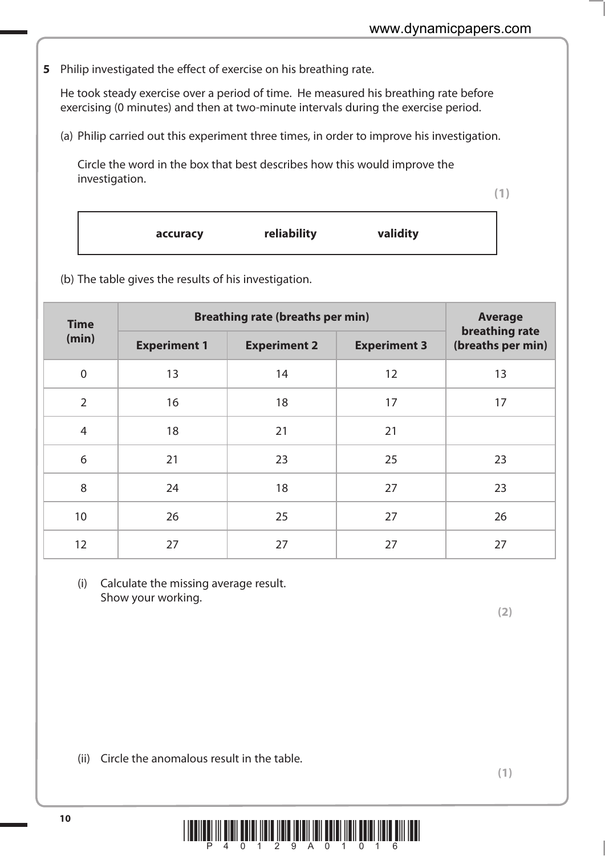**5** Philip investigated the effect of exercise on his breathing rate.

He took steady exercise over a period of time. He measured his breathing rate before exercising (0 minutes) and then at two-minute intervals during the exercise period.

(a) Philip carried out this experiment three times, in order to improve his investigation.

 Circle the word in the box that best describes how this would improve the investigation.

**(1)**

| reliability<br>validity<br>accuracy |
|-------------------------------------|
|-------------------------------------|

(b) The table gives the results of his investigation.

| <b>Time</b>    | <b>Breathing rate (breaths per min)</b> |                     |                     | <b>Average</b>                      |  |
|----------------|-----------------------------------------|---------------------|---------------------|-------------------------------------|--|
| (min)          | <b>Experiment 1</b>                     | <b>Experiment 2</b> | <b>Experiment 3</b> | breathing rate<br>(breaths per min) |  |
| $\overline{0}$ | 13                                      | 14                  | 12                  | 13                                  |  |
| $\overline{2}$ | 16                                      | 18                  | 17                  | 17                                  |  |
| $\overline{4}$ | 18                                      | 21                  | 21                  |                                     |  |
| 6              | 21                                      | 23                  | 25                  | 23                                  |  |
| 8              | 24                                      | 18                  | 27                  | 23                                  |  |
| 10             | 26                                      | 25                  | 27                  | 26                                  |  |
| 12             | 27                                      | 27                  | 27                  | 27                                  |  |

 (i) Calculate the missing average result. Show your working.

**(2)**

**(1)**

(ii) Circle the anomalous result in the table.

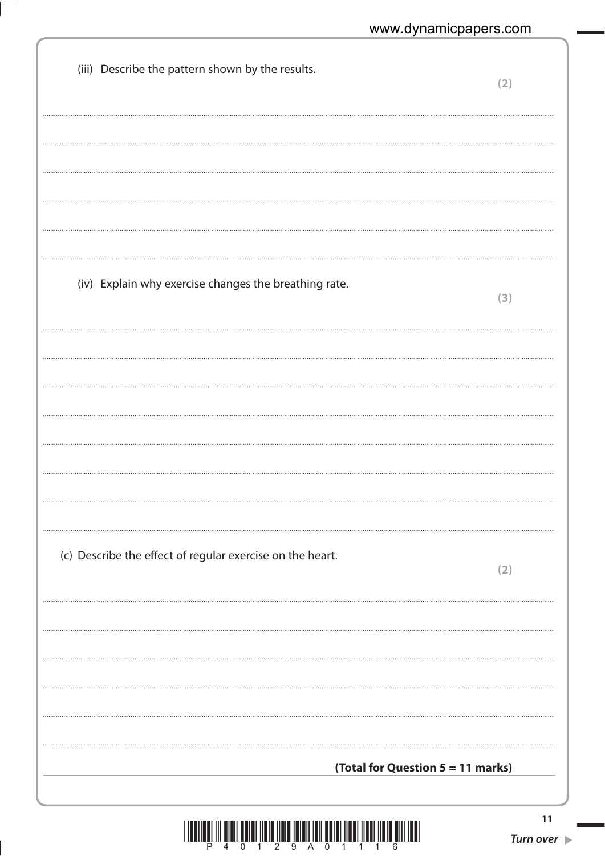| (iii) Describe the pattern shown by the results.          | (2) |
|-----------------------------------------------------------|-----|
|                                                           |     |
|                                                           |     |
| (iv) Explain why exercise changes the breathing rate.     | (3) |
|                                                           |     |
|                                                           |     |
| (c) Describe the effect of regular exercise on the heart. | (2) |
|                                                           |     |
|                                                           |     |
| (Total for Question 5 = 11 marks)                         | 11  |

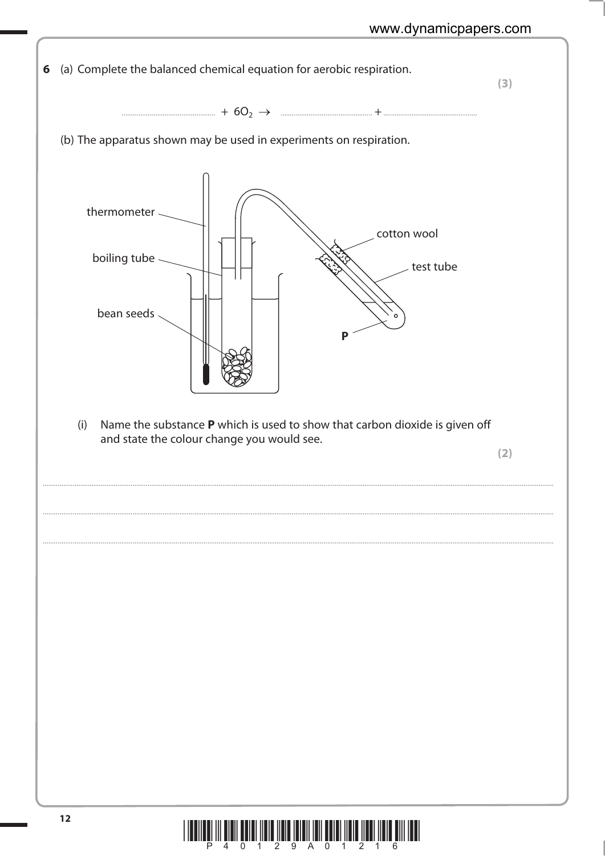

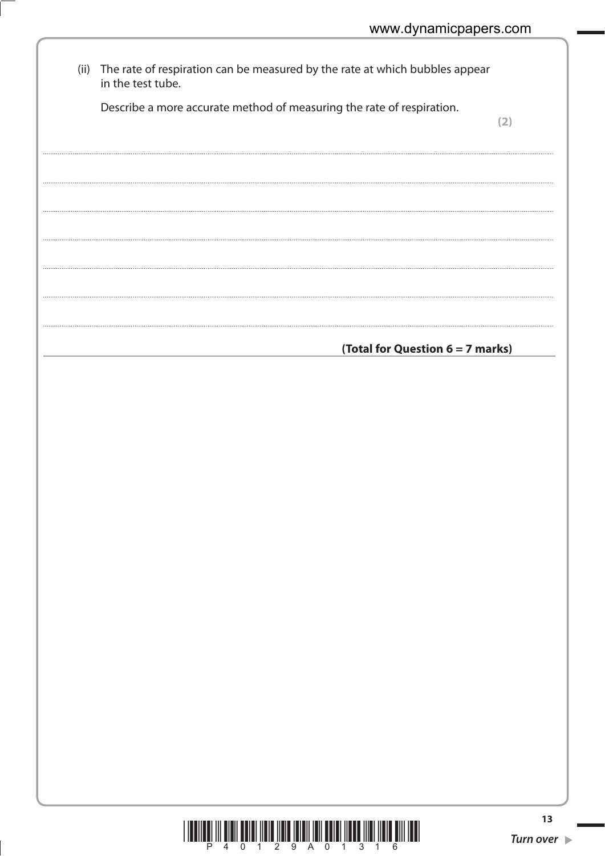| (ii) The rate of respiration can be measured by the rate at which bubbles appear<br>in the test tube. |     |
|-------------------------------------------------------------------------------------------------------|-----|
| Describe a more accurate method of measuring the rate of respiration.                                 | (2) |
|                                                                                                       |     |
|                                                                                                       |     |
|                                                                                                       |     |
|                                                                                                       |     |
|                                                                                                       |     |
|                                                                                                       |     |
| (Total for Question 6 = 7 marks)                                                                      |     |
|                                                                                                       |     |
|                                                                                                       |     |
|                                                                                                       |     |
|                                                                                                       |     |
|                                                                                                       |     |
|                                                                                                       |     |
|                                                                                                       |     |
|                                                                                                       |     |
|                                                                                                       |     |
|                                                                                                       |     |
|                                                                                                       |     |
|                                                                                                       |     |
|                                                                                                       |     |
|                                                                                                       |     |

-

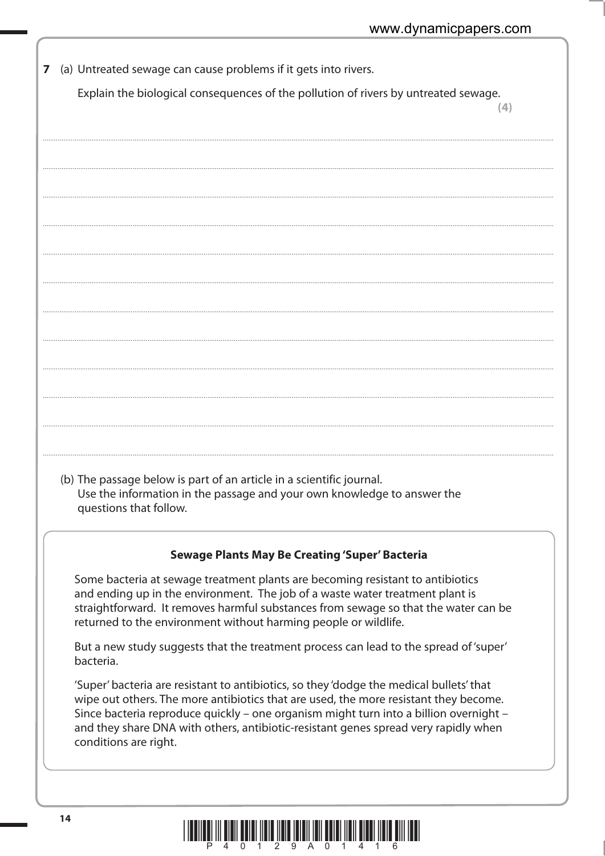| Explain the biological consequences of the pollution of rivers by untreated sewage.                                                                                          |
|------------------------------------------------------------------------------------------------------------------------------------------------------------------------------|
| (4)                                                                                                                                                                          |
|                                                                                                                                                                              |
|                                                                                                                                                                              |
|                                                                                                                                                                              |
|                                                                                                                                                                              |
|                                                                                                                                                                              |
|                                                                                                                                                                              |
|                                                                                                                                                                              |
|                                                                                                                                                                              |
|                                                                                                                                                                              |
|                                                                                                                                                                              |
|                                                                                                                                                                              |
|                                                                                                                                                                              |
|                                                                                                                                                                              |
|                                                                                                                                                                              |
|                                                                                                                                                                              |
|                                                                                                                                                                              |
|                                                                                                                                                                              |
|                                                                                                                                                                              |
| (b) The passage below is part of an article in a scientific journal.                                                                                                         |
| Use the information in the passage and your own knowledge to answer the                                                                                                      |
| questions that follow.                                                                                                                                                       |
|                                                                                                                                                                              |
|                                                                                                                                                                              |
| <b>Sewage Plants May Be Creating 'Super' Bacteria</b>                                                                                                                        |
| Some bacteria at sewage treatment plants are becoming resistant to antibiotics                                                                                               |
| and ending up in the environment. The job of a waste water treatment plant is                                                                                                |
| straightforward. It removes harmful substances from sewage so that the water can be                                                                                          |
| returned to the environment without harming people or wildlife.                                                                                                              |
| But a new study suggests that the treatment process can lead to the spread of 'super'                                                                                        |
| bacteria.                                                                                                                                                                    |
| 'Super' bacteria are resistant to antibiotics, so they 'dodge the medical bullets' that                                                                                      |
| wipe out others. The more antibiotics that are used, the more resistant they become.                                                                                         |
| Since bacteria reproduce quickly - one organism might turn into a billion overnight -<br>and they share DNA with others, antibiotic-resistant genes spread very rapidly when |

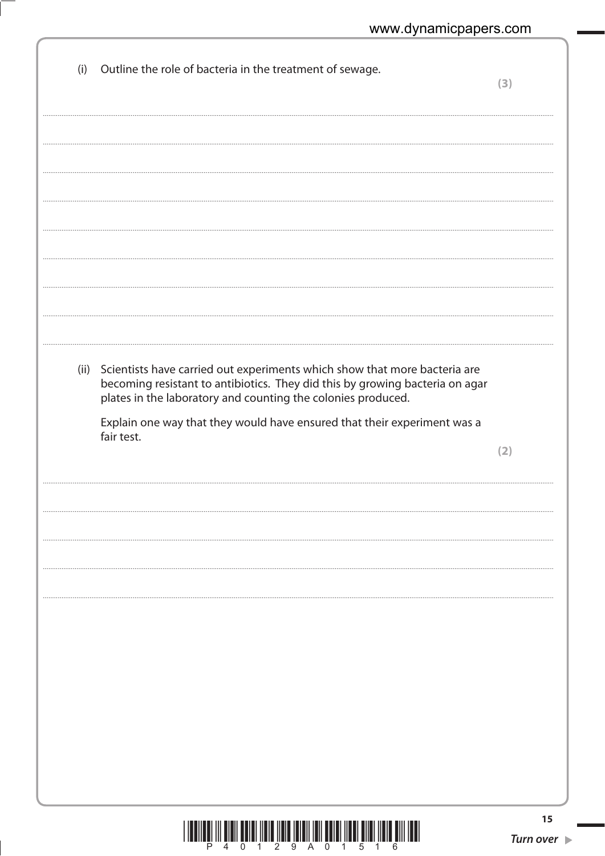| (i) | Outline the role of bacteria in the treatment of sewage.                                                                                                                                                                       | (3) |
|-----|--------------------------------------------------------------------------------------------------------------------------------------------------------------------------------------------------------------------------------|-----|
|     |                                                                                                                                                                                                                                |     |
|     |                                                                                                                                                                                                                                |     |
|     |                                                                                                                                                                                                                                |     |
|     |                                                                                                                                                                                                                                |     |
|     |                                                                                                                                                                                                                                |     |
|     |                                                                                                                                                                                                                                |     |
|     |                                                                                                                                                                                                                                |     |
|     | (ii) Scientists have carried out experiments which show that more bacteria are<br>becoming resistant to antibiotics. They did this by growing bacteria on agar<br>plates in the laboratory and counting the colonies produced. |     |
|     | Explain one way that they would have ensured that their experiment was a<br>fair test.                                                                                                                                         |     |
|     |                                                                                                                                                                                                                                | (2) |
|     |                                                                                                                                                                                                                                |     |
|     |                                                                                                                                                                                                                                |     |
|     |                                                                                                                                                                                                                                |     |
|     |                                                                                                                                                                                                                                |     |
|     |                                                                                                                                                                                                                                |     |
|     |                                                                                                                                                                                                                                |     |
|     |                                                                                                                                                                                                                                |     |
|     |                                                                                                                                                                                                                                |     |
|     |                                                                                                                                                                                                                                |     |

-